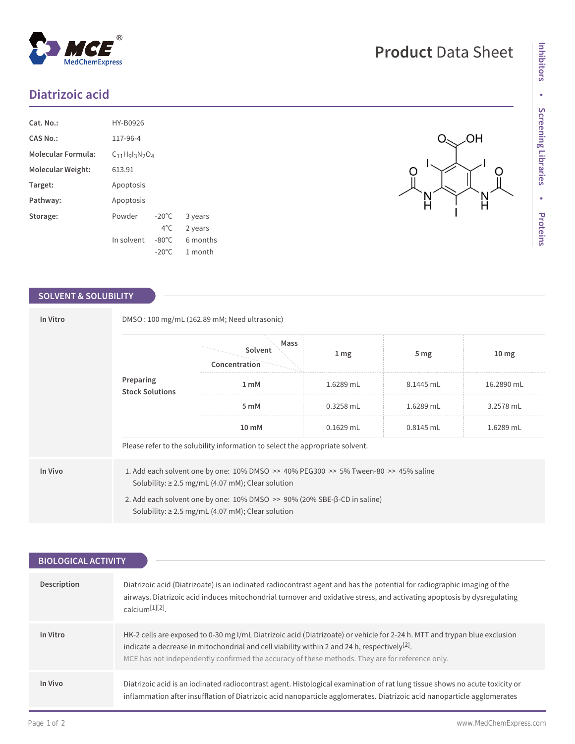## **Diatrizoic acid**

MedChemExpress

| Cat. No.:                 | HY-B0926            |                 |          |
|---------------------------|---------------------|-----------------|----------|
| CAS No.:                  | 117-96-4            |                 |          |
| <b>Molecular Formula:</b> | $C_{11}Hq1_3N_2O_4$ |                 |          |
| Molecular Weight:         | 613.91              |                 |          |
| Target:                   | Apoptosis           |                 |          |
| Pathway:                  | Apoptosis           |                 |          |
| Storage:                  | Powder              | $-20^{\circ}$ C | 3 years  |
|                           |                     | $4^{\circ}$ C   | 2 years  |
|                           | In solvent          | $-80^{\circ}$ C | 6 months |
|                           |                     | $-20^{\circ}$ C | 1 month  |

 $^{\circledR}$ 

## **SOLVENT & SOLUBILITY**

| In Vitro | DMSO: 100 mg/mL (162.89 mM; Need ultrasonic)                                                                                                      |                                                                                                                                                              |                  |                 |                  |  |
|----------|---------------------------------------------------------------------------------------------------------------------------------------------------|--------------------------------------------------------------------------------------------------------------------------------------------------------------|------------------|-----------------|------------------|--|
|          | Preparing<br><b>Stock Solutions</b>                                                                                                               | Mass<br>Solvent<br>Concentration                                                                                                                             | $1 \, \text{mg}$ | 5 <sub>mg</sub> | 10 <sub>mg</sub> |  |
|          |                                                                                                                                                   | 1 <sub>m</sub> M                                                                                                                                             | 1.6289 mL        | 8.1445 mL       | 16.2890 mL       |  |
|          |                                                                                                                                                   | 5 mM                                                                                                                                                         | $0.3258$ mL      | 1.6289 mL       | 3.2578 mL        |  |
|          |                                                                                                                                                   | 10 mM                                                                                                                                                        | $0.1629$ mL      | 0.8145 mL       | 1.6289 mL        |  |
|          |                                                                                                                                                   | Please refer to the solubility information to select the appropriate solvent.                                                                                |                  |                 |                  |  |
| In Vivo  |                                                                                                                                                   | 1. Add each solvent one by one: $10\%$ DMSO $\geq$ 40% PEG300 $\geq$ 5% Tween-80 $\geq$ 45% saline<br>Solubility: $\geq$ 2.5 mg/mL (4.07 mM); Clear solution |                  |                 |                  |  |
|          | 2. Add each solvent one by one: $10\%$ DMSO $\geq$ 90% (20% SBE- $\beta$ -CD in saline)<br>Solubility: $\geq$ 2.5 mg/mL (4.07 mM); Clear solution |                                                                                                                                                              |                  |                 |                  |  |

| <b>BIOLOGICAL ACTIVITY</b> |                                                                                                                                                                                                                                                                                                                                          |  |  |  |
|----------------------------|------------------------------------------------------------------------------------------------------------------------------------------------------------------------------------------------------------------------------------------------------------------------------------------------------------------------------------------|--|--|--|
|                            |                                                                                                                                                                                                                                                                                                                                          |  |  |  |
| <b>Description</b>         | Diatrizoic acid (Diatrizoate) is an iodinated radiocontrast agent and has the potential for radiographic imaging of the<br>airways. Diatrizoic acid induces mitochondrial turnover and oxidative stress, and activating apoptosis by dysregulating<br>$cal$ calcium $[1][2]$                                                             |  |  |  |
| In Vitro                   | HK-2 cells are exposed to 0-30 mg I/mL Diatrizoic acid (Diatrizoate) or vehicle for 2-24 h. MTT and trypan blue exclusion<br>indicate a decrease in mitochondrial and cell viability within 2 and 24 h, respectively <sup>[2]</sup> .<br>MCE has not independently confirmed the accuracy of these methods. They are for reference only. |  |  |  |
| In Vivo                    | Diatrizoic acid is an iodinated radiocontrast agent. Histological examination of rat lung tissue shows no acute toxicity or<br>inflammation after insufflation of Diatrizoic acid nanoparticle agglomerates. Diatrizoic acid nanoparticle agglomerates                                                                                   |  |  |  |

 $O_{\leq}$ 

 $\circ$ 

 $\frac{N}{H}$ 

**OH** 

 $\bigcirc$ 

N<br>H